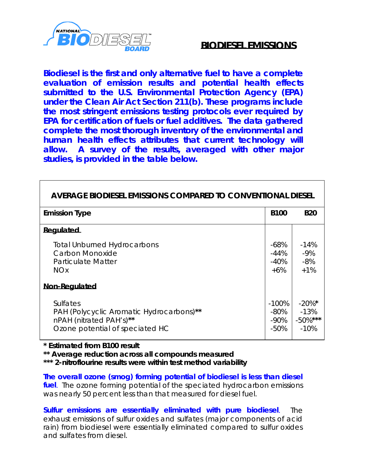

## **BIODIESEL EMISSIONS**

**Biodiesel is the first and only alternative fuel to have a complete evaluation of emission results and potential health effects submitted to the U.S. Environmental Protection Agency (EPA) under the Clean Air Act Section 211(b). These programs include the most stringent emissions testing protocols ever required by EPA for certification of fuels or fuel additives. The data gathered complete the most thorough inventory of the environmental and human health effects attributes that current technology will allow. A survey of the results, averaged with other major studies, is provided in the table below.**

| AVERAGE BIODIESEL EMISSIONS COMPARED TO CONVENTIONAL DIESEL                                                               |                                      |                                              |
|---------------------------------------------------------------------------------------------------------------------------|--------------------------------------|----------------------------------------------|
| <b>Emission Type</b>                                                                                                      | <b>B100</b>                          | <b>B20</b>                                   |
| Regulated                                                                                                                 |                                      |                                              |
| <b>Total Unburned Hydrocarbons</b><br>Carbon Monoxide<br>Particulate Matter<br><b>NO<sub>x</sub></b>                      | $-68%$<br>$-44%$<br>$-40%$<br>$+6\%$ | $-14%$<br>$-9%$<br>$-8%$<br>$+1%$            |
| <b>Non-Regulated</b>                                                                                                      |                                      |                                              |
| <b>Sulfates</b><br>PAH (Polycyclic Aromatic Hydrocarbons)**<br>nPAH (nitrated PAH's)**<br>Ozone potential of speciated HC | -100%<br>-80%<br>$-90\%$<br>$-50%$   | $-20\%$ *<br>$-13%$<br>$-50\%$ ***<br>$-10%$ |

**\* Estimated from B100 result**

**\*\* Average reduction across all compounds measured**

**\*\*\* 2-nitroflourine results were within test method variability**

**The overall ozone (smog) forming potential of biodiesel is less than diesel fuel**. The ozone forming potential of the speciated hydrocarbon emissions was nearly 50 percent less than that measured for diesel fuel.

**Sulfur emissions are essentially eliminated with pure biodiesel**. The exhaust emissions of sulfur oxides and sulfates (major components of acid rain) from biodiesel were essentially eliminated compared to sulfur oxides and sulfates from diesel.